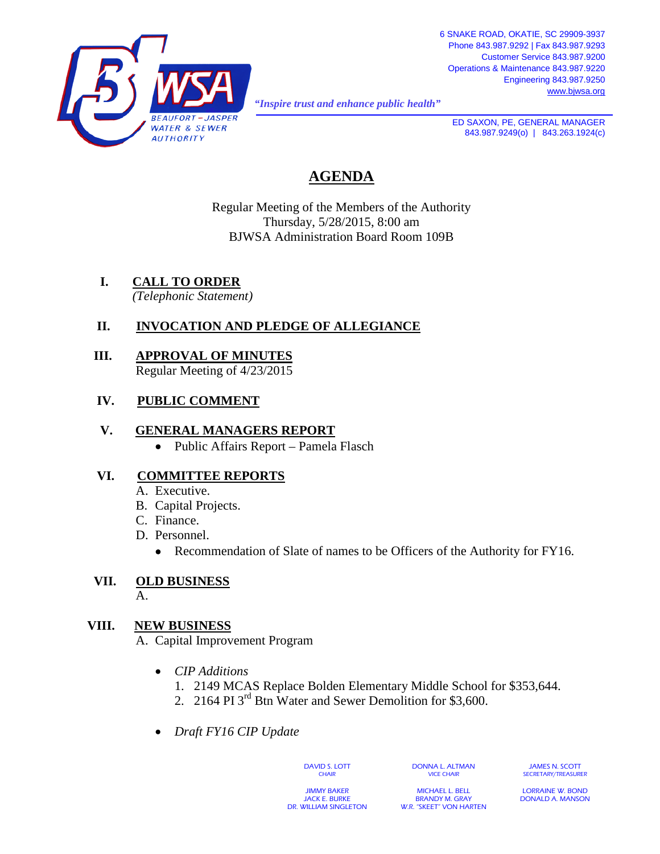

*"Inspire trust and enhance public health"* 

**ED SAXON, PE, GENERAL MANAGER** 843.987.9249(o) | 843.263.1924(c)

## **AGENDA**

Regular Meeting of the Members of the Authority Thursday, 5/28/2015, 8:00 am BJWSA Administration Board Room 109B

## **I. CALL TO ORDER**

*(Telephonic Statement)*

### **II. INVOCATION AND PLEDGE OF ALLEGIANCE**

 **III. APPROVAL OF MINUTES** Regular Meeting of 4/23/2015

### **IV. PUBLIC COMMENT**

### **V. GENERAL MANAGERS REPORT**

• Public Affairs Report – Pamela Flasch

### **VI. COMMITTEE REPORTS**

- A. Executive.
- B. Capital Projects.
- C. Finance.
- D. Personnel.
	- Recommendation of Slate of names to be Officers of the Authority for FY16.

# **VII. OLD BUSINESS**

A.

### **VIII. NEW BUSINESS**

A. Capital Improvement Program

- *CIP Additions*
	- 1. 2149 MCAS Replace Bolden Elementary Middle School for \$353,644.
	- 2. 2164 PI 3rd Btn Water and Sewer Demolition for \$3,600.
- *Draft FY16 CIP Update*

DAVID S. LOTT **CHAIR** 

DONNA L. ALTMAN VICE CHAIR

JAMES N. SCOTT SECRETARY/TREASURER

JIMMY BAKER JACK E. BURKE DR. WILLIAM SINGLETON

MICHAEL L. BELL BRANDY M. GRAY W.R. "SKEET" VON HARTEN

LORRAINE W. BOND DONALD A. MANSON